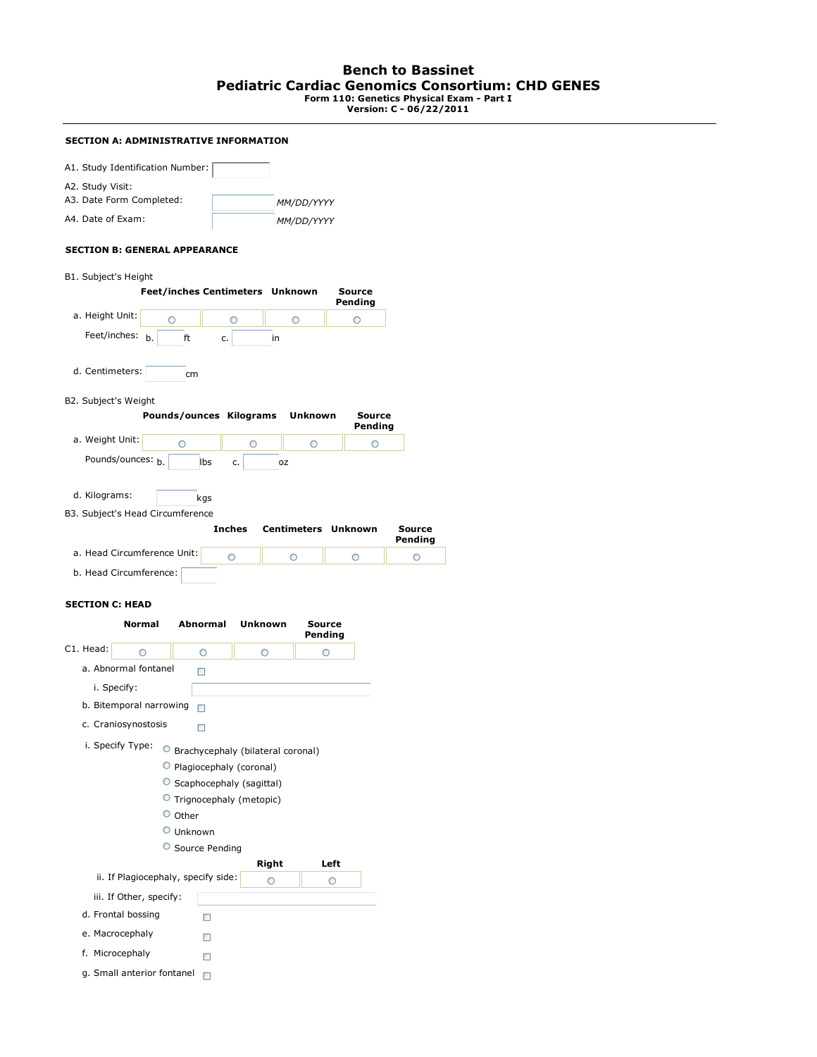# **Bench to Bassinet Pediatric Cardiac Genomics Consortium: CHD GENES Form 110: Genetics Physical Exam - Part I Version: C - 06/22/2011**

### **SECTION A: ADMINISTRATIVE INFORMATION**

| A1. Study Identification Number: |            |
|----------------------------------|------------|
| A2. Study Visit:                 |            |
| A3. Date Form Completed:         | MM/DD/YYYY |
| A4. Date of Exam:                | MM/DD/YYYY |

### **SECTION B: GENERAL APPEARANCE**

B1. Subject's Height

|                                  |            | Feet/inches Centimeters Unknown |                            | Source<br>Pending |                   |
|----------------------------------|------------|---------------------------------|----------------------------|-------------------|-------------------|
| a. Height Unit:                  | Ο          | ◠                               | $\circ$                    | O                 |                   |
| Feet/inches:<br>b.               | ft         | c.                              | in                         |                   |                   |
| d. Centimeters:                  | cm         |                                 |                            |                   |                   |
| B2. Subject's Weight             |            |                                 |                            |                   |                   |
|                                  |            | Pounds/ounces Kilograms         | Unknown                    | Source<br>Pending |                   |
| a. Weight Unit:                  | $\bigcirc$ | $\bigcirc$                      | $\circ$                    | ∩                 |                   |
| Pounds/ounces: h.                |            | <b>lbs</b><br>c.                | <b>DZ</b>                  |                   |                   |
| d. Kilograms:                    |            | kgs                             |                            |                   |                   |
| B3. Subject's Head Circumference |            |                                 |                            |                   |                   |
|                                  |            | <b>Inches</b>                   | <b>Centimeters Unknown</b> |                   | Source<br>Pending |
| a. Head Circumference Unit:      |            | O                               | ∩                          |                   |                   |

b. Head Circumference:

## **SECTION C: HEAD**

|           | <b>Normal</b>                                 | <b>Abnormal</b>                                                                                                      | Unknown                           | Source<br>Pending |
|-----------|-----------------------------------------------|----------------------------------------------------------------------------------------------------------------------|-----------------------------------|-------------------|
| C1. Head: | ∩                                             | ◠                                                                                                                    | ◠                                 |                   |
|           | a. Abnormal fontanel                          | п                                                                                                                    |                                   |                   |
|           | i. Specify:                                   |                                                                                                                      |                                   |                   |
|           | b. Bitemporal narrowing                       | п                                                                                                                    |                                   |                   |
|           | c. Craniosynostosis                           | п                                                                                                                    |                                   |                   |
|           | O<br>O                                        | Plagiocephaly (coronal)<br>Scaphocephaly (sagittal)<br>Trignocephaly (metopic)<br>Other<br>Unknown<br>Source Pending | Brachycephaly (bilateral coronal) |                   |
|           |                                               |                                                                                                                      | <b>Right</b>                      | Left              |
|           | iii. If Other, specify:<br>d. Frontal bossing | ii. If Plagiocephaly, specify side:                                                                                  |                                   | ∩                 |
|           | e. Macrocephaly                               |                                                                                                                      |                                   |                   |
|           |                                               |                                                                                                                      |                                   |                   |
|           | f. Microcephaly                               |                                                                                                                      |                                   |                   |
|           | g. Small anterior fontanel                    | п                                                                                                                    |                                   |                   |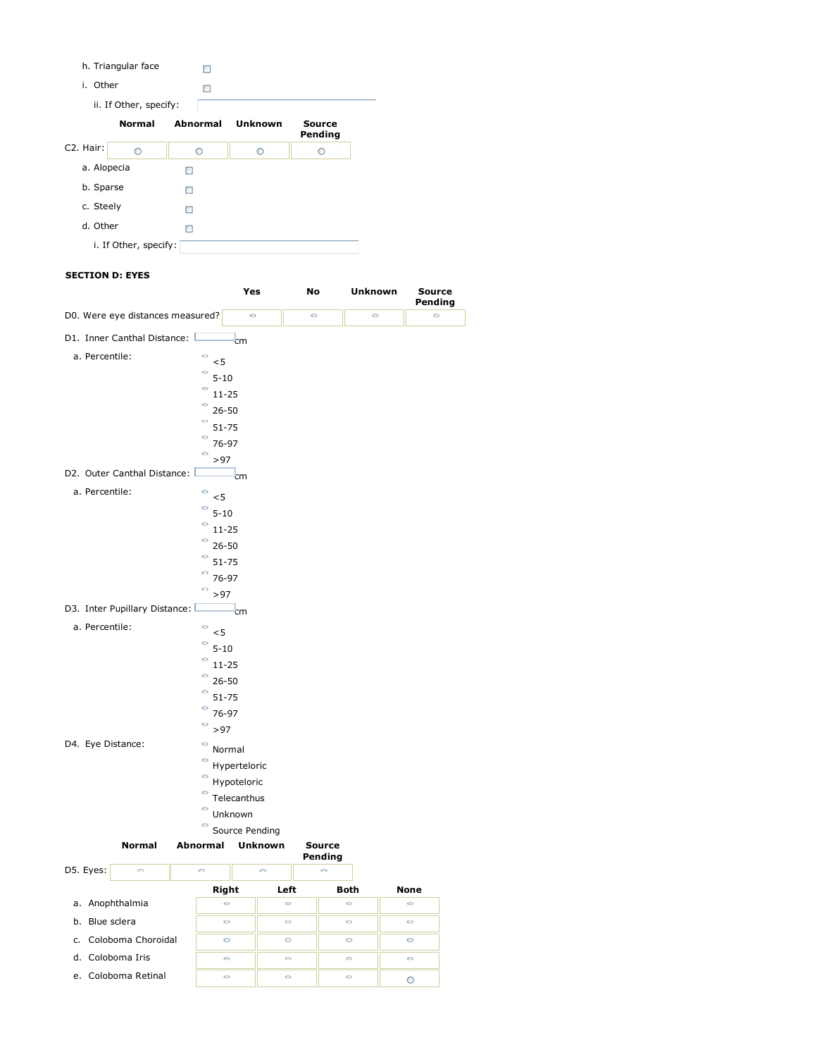|           | h. Triangular face     |          |         |                   |
|-----------|------------------------|----------|---------|-------------------|
| i. Other  |                        | п        |         |                   |
|           | ii. If Other, specify: |          |         |                   |
|           | <b>Normal</b>          | Abnormal | Unknown | Source<br>Pending |
| C2. Hair: | $\bigcirc$             | ◠        |         |                   |
|           | a. Alopecia            |          |         |                   |
|           | b. Sparse              | п        |         |                   |
|           | c. Steely              | п        |         |                   |
| d. Other  |                        |          |         |                   |
|           | i. If Other, specify:  |          |         |                   |
|           |                        |          |         |                   |

## **SECTION D: EYES**

| 3221101101112                          |                            |                |         |                          |         |                   |
|----------------------------------------|----------------------------|----------------|---------|--------------------------|---------|-------------------|
|                                        |                            | Yes            | No      |                          | Unknown | Source<br>Pending |
| D0. Were eye distances measured?       |                            | $\circ$        | $\circ$ |                          | $\circ$ | $\circ$           |
| D1. Inner Canthal Distance:            |                            | cm             |         |                          |         |                   |
| a. Percentile:                         | $\circ$                    |                |         |                          |         |                   |
|                                        | < 5<br>$\circ$<br>$5 - 10$ |                |         |                          |         |                   |
|                                        | $\circ$<br>11-25           |                |         |                          |         |                   |
|                                        | $\circ$<br>$26 - 50$       |                |         |                          |         |                   |
|                                        | O<br>$51 - 75$             |                |         |                          |         |                   |
|                                        | O<br>76-97                 |                |         |                          |         |                   |
|                                        | $\circ$<br>>97             |                |         |                          |         |                   |
| D2. Outer Canthal Distance:            |                            | cm             |         |                          |         |                   |
| a. Percentile:                         | $\circ$<br>< 5             |                |         |                          |         |                   |
|                                        | $\circ$<br>$5 - 10$        |                |         |                          |         |                   |
|                                        | $\circ$<br>$11 - 25$       |                |         |                          |         |                   |
|                                        | $26 - 50$                  |                |         |                          |         |                   |
|                                        | 51-75                      |                |         |                          |         |                   |
|                                        | 76-97                      |                |         |                          |         |                   |
|                                        | >97                        |                |         |                          |         |                   |
| D3. Inter Pupillary Distance:          |                            | cm             |         |                          |         |                   |
| a. Percentile:                         | $\circ$<br><5              |                |         |                          |         |                   |
|                                        | $\circ$<br>$5 - 10$        |                |         |                          |         |                   |
|                                        | $\circ$<br>$11 - 25$       |                |         |                          |         |                   |
|                                        | $\circ$<br>$26 - 50$       |                |         |                          |         |                   |
|                                        | $\circ$<br>51-75           |                |         |                          |         |                   |
|                                        | O<br>76-97                 |                |         |                          |         |                   |
|                                        | O<br>>97                   |                |         |                          |         |                   |
| D4. Eye Distance:<br>$\circ$<br>Normal |                            |                |         |                          |         |                   |
|                                        | $\circ$                    | Hyperteloric   |         |                          |         |                   |
|                                        | $\circ$<br>Hypoteloric     |                |         |                          |         |                   |
|                                        | $\circ$<br>Telecanthus     |                |         |                          |         |                   |
|                                        | O<br>Unknown               |                |         |                          |         |                   |
|                                        | $\circ$                    | Source Pending |         |                          |         |                   |
| <b>Normal</b>                          | Abnormal                   | <b>Unknown</b> |         | <b>Source</b><br>Pending |         |                   |
| D5. Eyes:<br>$\bigcirc$                | $\bigcirc$                 | $\bigcirc$     |         | $\bigcirc$               |         |                   |
| L.                                     | Right                      |                | Left    | Both                     | None    |                   |
| a. Anophthalmia                        | $\circ$                    |                | $\circ$ | $\circ$                  | $\circ$ |                   |
| b. Blue sclera                         | $\circ$                    |                | $\circ$ | $\circ$                  | $\circ$ |                   |
| c. Coloboma Choroidal                  | $\circ$                    |                | O       | O                        | O       |                   |
| d. Coloboma Iris                       | $\circ$                    |                | $\circ$ | $\circ$                  | $\circ$ |                   |
| e. Coloboma Retinal                    | $\circ$                    |                | $\circ$ | $\circ$                  | O       |                   |

 $\frac{1}{\sqrt{2}}$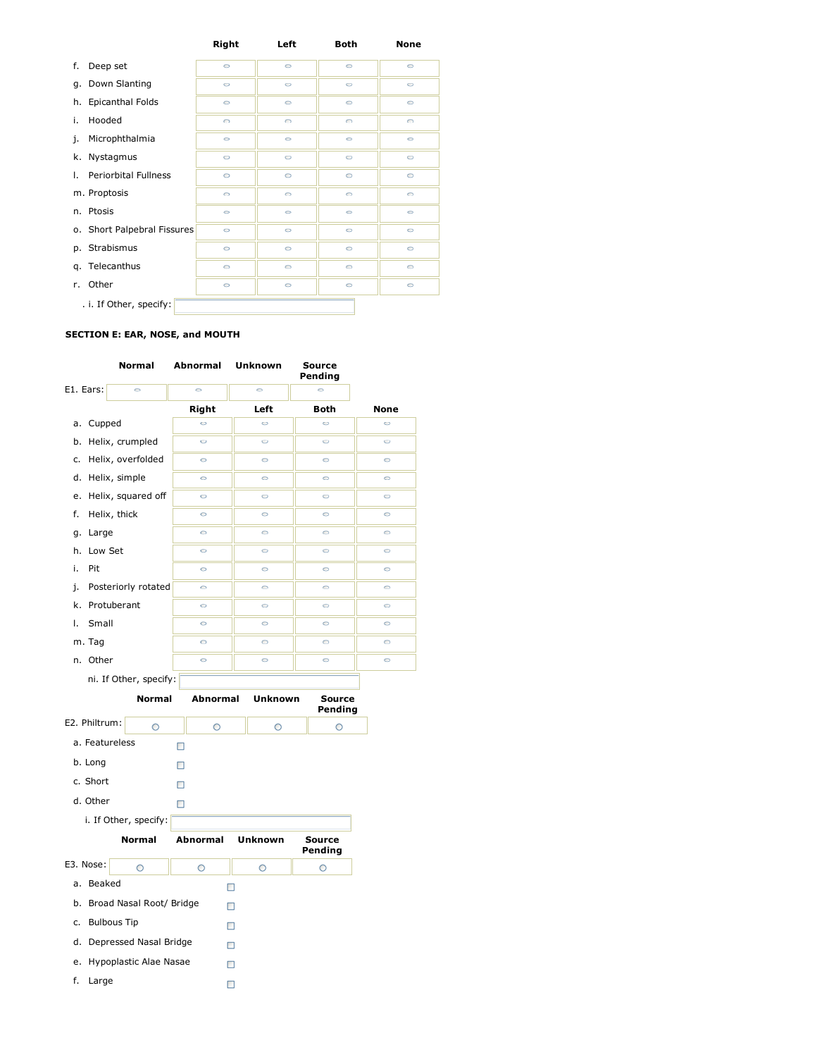|                                   | <b>Right</b> | Left       | <b>Both</b> | <b>None</b> |
|-----------------------------------|--------------|------------|-------------|-------------|
| f.<br>Deep set                    | $\circ$      | $\circ$    | $\circ$     | $\circ$     |
| g. Down Slanting                  | $\circ$      | $\circ$    | $\circ$     | $\circ$     |
| <b>Epicanthal Folds</b><br>h.     | 0            | $\circ$    | $\circ$     | $\circ$     |
| i.<br>Hooded                      | $\circ$      | $\bigcirc$ | $\bigcirc$  | $\bigcirc$  |
| Microphthalmia<br>j.              | $\circ$      | $\circ$    | $\circ$     | $\circ$     |
| Nystagmus<br>k.                   | $\circ$      | $\circ$    | $\circ$     | $\circ$     |
| <b>Periorbital Fullness</b><br>Τ. | $\circ$      | $\circ$    | $\circ$     | $\circ$     |
| m. Proptosis                      | $\circ$      | $\circ$    | $\circ$     | $\circ$     |
| Ptosis<br>n.                      | $\circ$      | $\circ$    | $\circ$     | $\circ$     |
| o. Short Palpebral Fissures       | $\circ$      | $\circ$    | $\circ$     | $\circ$     |
| p. Strabismus                     | $\circ$      | $\circ$    | $\circ$     | $\circ$     |
| Telecanthus<br>q.                 | $\circ$      | $\circ$    | $\circ$     | $\circ$     |
| Other<br>r.                       | $\circ$      | $\circ$    | $\circ$     | $\circ$     |
| . i. If Other, specify:           |              |            |             |             |

# **SECTION E: EAR, NOSE, and MOUTH**

|                | Normal                   | Abnormal        | Unknown        | <b>Source</b><br>Pending |         |
|----------------|--------------------------|-----------------|----------------|--------------------------|---------|
| E1. Ears:      | $\circ$                  | Ó               | $\bullet$      | Ó                        |         |
|                |                          | Right           | Left           | Both                     | None    |
| a. Cupped      |                          | $\circ$         | $\circ$        | $\circ$                  | $\circ$ |
| b.             | Helix, crumpled          | Ó               | Ó              | Ó                        | Ó       |
| c.             | Helix, overfolded        | $\circ$         | $\circ$        | $\circ$                  | $\circ$ |
| d.             | Helix, simple            | $\circ$         | 0              | $\circ$                  | $\circ$ |
| e.             | Helix, squared off       | $\circ$         | $\circ$        | $\circ$                  | $\circ$ |
| f.             | Helix, thick             | O               | $\circ$        | $\circ$                  | Ó       |
| Large<br>g.    |                          | $\circ$         | $\circ$        | $\circ$                  | $\circ$ |
| Low Set<br>h.  |                          | $\circ$         | $\circ$        | $\circ$                  | $\circ$ |
| i.<br>Pit      |                          | 0               | $\circ$        | $\circ$                  | $\circ$ |
| j.             | Posteriorly rotated      | $\circ$         | $\bullet$      | $\circ$                  | $\circ$ |
| k.             | Protuberant              | $\circ$         | $\circ$        | $\circ$                  | $\circ$ |
| Small<br>Τ.    |                          | 6               | $\circ$        | $\circ$                  | $\circ$ |
| m. Tag         |                          | $\circ$         | $\circ$        | $\circ$                  | $\circ$ |
| n. Other       |                          | $\circ$         | $\circ$        | $\circ$                  | $\circ$ |
|                | ni. If Other, specify:   |                 |                |                          |         |
|                | <b>Normal</b>            | <b>Abnormal</b> | <b>Unknown</b> | <b>Source</b><br>Pending |         |
|                |                          |                 |                |                          |         |
| E2. Philtrum:  | $\circ$                  | O               | O              | O                        |         |
| a. Featureless |                          | П               |                |                          |         |
| b. Long        |                          | П               |                |                          |         |
| c. Short       |                          | п               |                |                          |         |
| d. Other       |                          | п               |                |                          |         |
|                | i. If Other, specify:    |                 |                |                          |         |
|                | <b>Normal</b>            | <b>Abnormal</b> | <b>Unknown</b> | Source<br>Pending        |         |
| E3. Nose:      | $\circ$                  | $\circ$         | $\circ$        | $\circ$                  |         |
| a. Beaked      |                          |                 | □              |                          |         |
| b.             | Broad Nasal Root/ Bridge |                 | П              |                          |         |
| c.             | <b>Bulbous Tip</b>       |                 | п              |                          |         |
| d.             | Depressed Nasal Bridge   |                 | □              |                          |         |
| e.             | Hypoplastic Alae Nasae   |                 | П              |                          |         |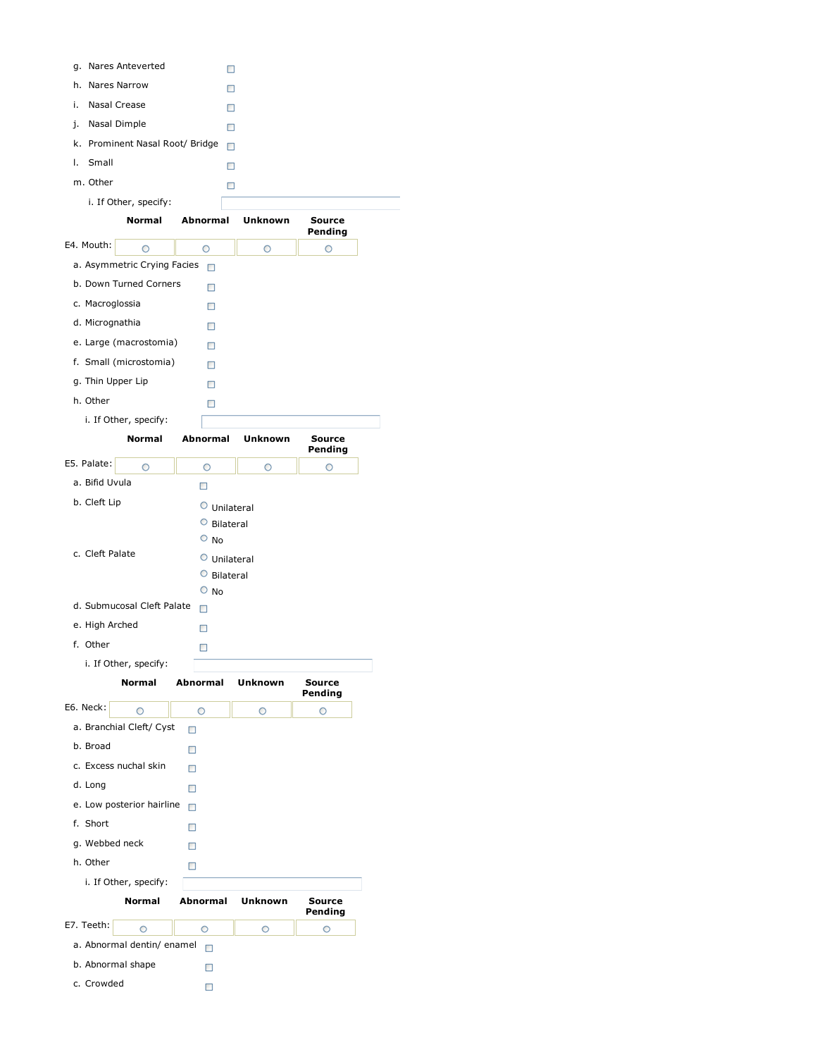|                                        |                   | □            |               |
|----------------------------------------|-------------------|--------------|---------------|
| Nares Narrow<br>h.                     |                   | □            |               |
| Nasal Crease<br>i.                     |                   | □            |               |
| Nasal Dimple<br>j.                     |                   |              |               |
| Prominent Nasal Root/ Bridge<br>k.     |                   | □            |               |
| Small<br>Ι.                            |                   | п            |               |
| m. Other                               |                   | □            |               |
|                                        |                   | □            |               |
| i. If Other, specify:<br><b>Normal</b> | Abnormal          | Unknown      | <b>Source</b> |
|                                        |                   |              | Pending       |
| E4. Mouth:<br>O                        | O                 | O            | O             |
| a. Asymmetric Crying Facies            | П                 |              |               |
| b. Down Turned Corners                 | $\Box$            |              |               |
| c. Macroglossia                        | □                 |              |               |
| d. Micrognathia                        | $\Box$            |              |               |
| e. Large (macrostomia)                 | □                 |              |               |
| f. Small (microstomia)                 | п                 |              |               |
| g. Thin Upper Lip                      | □                 |              |               |
| h. Other                               | □                 |              |               |
| i. If Other, specify:                  |                   |              |               |
| Normal                                 | Abnormal          | Unknown      | Source        |
| E5. Palate:                            | O                 | O            | Pending       |
| O<br>a. Bifid Uvula                    |                   |              | O             |
| b. Cleft Lip                           | □                 |              |               |
|                                        |                   | O Unilateral |               |
|                                        | O<br>$\circ$ No   | Bilateral    |               |
| c. Cleft Palate                        | $\circ$           |              |               |
|                                        | $\circ$ Bilateral | Unilateral   |               |
|                                        | $\circ$ No        |              |               |
|                                        |                   |              |               |
| d. Submucosal Cleft Palate             | □                 |              |               |
| e. High Arched                         | □                 |              |               |
| f. Other                               | □                 |              |               |
| i. If Other, specify:                  |                   |              |               |
| <b>Normal</b>                          | Abnormal          | Unknown      | Source        |
|                                        |                   |              | Pending       |
| E6. Neck:<br>Ο                         | O                 | O            | O             |
| a. Branchial Cleft/ Cyst               | П                 |              |               |
| b. Broad                               | □                 |              |               |
| c. Excess nuchal skin                  | □                 |              |               |
| d. Long                                | □                 |              |               |
| e. Low posterior hairline              | П                 |              |               |
| f. Short                               | п                 |              |               |
| g. Webbed neck                         | □                 |              |               |
| h. Other                               | □                 |              |               |
| i. If Other, specify:                  |                   |              |               |
| Normal                                 | Abnormal          | Unknown      | <b>Source</b> |
| E7. Teeth:<br>O                        | O                 | O            | Pending<br>O  |
| a. Abnormal dentin/ enamel             | $\Box$            |              |               |
| b. Abnormal shape                      | □                 |              |               |